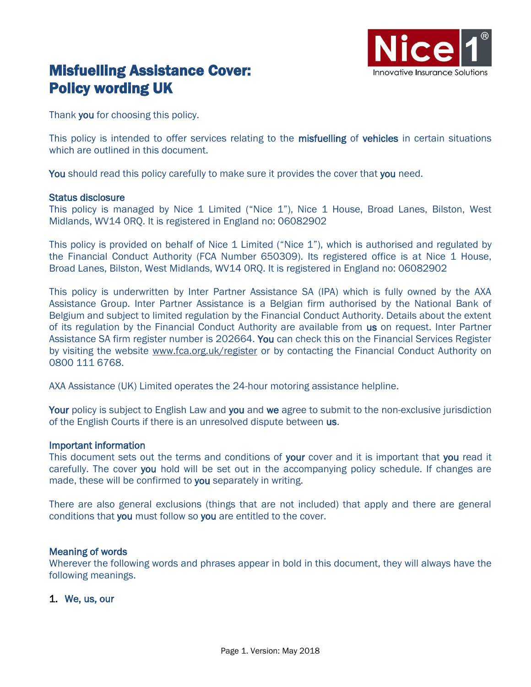

# Misfuelling Assistance Cover: Policy wording UK

Thank you for choosing this policy.

This policy is intended to offer services relating to the misfuelling of vehicles in certain situations which are outlined in this document.

You should read this policy carefully to make sure it provides the cover that you need.

#### Status disclosure

This policy is managed by Nice 1 Limited ("Nice 1"), Nice 1 House, Broad Lanes, Bilston, West Midlands, WV14 0RQ. It is registered in England no: 06082902

This policy is provided on behalf of Nice 1 Limited ("Nice 1"), which is authorised and regulated by the Financial Conduct Authority (FCA Number 650309). Its registered office is at Nice 1 House, Broad Lanes, Bilston, West Midlands, WV14 0RQ. It is registered in England no: 06082902

This policy is underwritten by Inter Partner Assistance SA (IPA) which is fully owned by the AXA Assistance Group. Inter Partner Assistance is a Belgian firm authorised by the National Bank of Belgium and subject to limited regulation by the Financial Conduct Authority. Details about the extent of its regulation by the Financial Conduct Authority are available from us on request. Inter Partner Assistance SA firm register number is 202664. You can check this on the Financial Services Register by visiting the website [www.fca.org.uk/register](http://www.fca.org.uk/register___) or by contacting the Financial Conduct Authority on 0800 111 6768.

AXA Assistance (UK) Limited operates the 24-hour motoring assistance helpline.

Your policy is subject to English Law and you and we agree to submit to the non-exclusive jurisdiction of the English Courts if there is an unresolved dispute between us.

#### Important information

This document sets out the terms and conditions of your cover and it is important that you read it carefully. The cover you hold will be set out in the accompanying policy schedule. If changes are made, these will be confirmed to you separately in writing.

There are also general exclusions (things that are not included) that apply and there are general conditions that you must follow so you are entitled to the cover.

#### Meaning of words

Wherever the following words and phrases appear in bold in this document, they will always have the following meanings.

1. We, us, our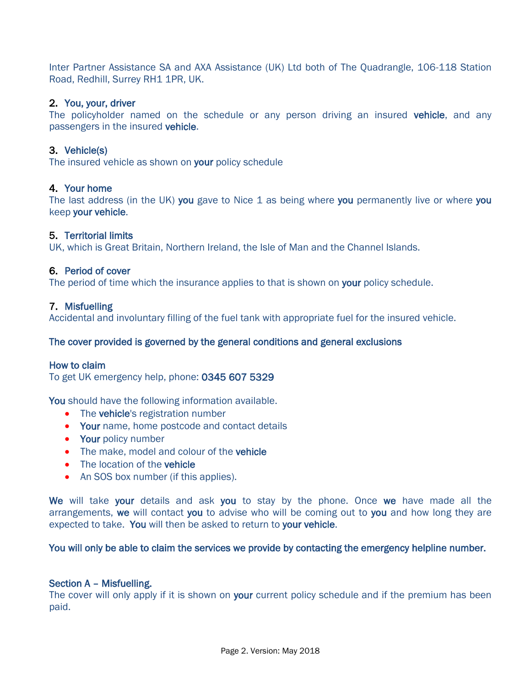Inter Partner Assistance SA and AXA Assistance (UK) Ltd both of The Quadrangle, 106-118 Station Road, Redhill, Surrey RH1 1PR, UK.

## 2. You, your, driver

The policyholder named on the schedule or any person driving an insured vehicle, and any passengers in the insured vehicle.

# 3. Vehicle(s)

The insured vehicle as shown on your policy schedule

# 4. Your home

The last address (in the UK) you gave to Nice 1 as being where you permanently live or where you keep your vehicle.

## 5. Territorial limits

UK, which is Great Britain, Northern Ireland, the Isle of Man and the Channel Islands.

# 6. Period of cover

The period of time which the insurance applies to that is shown on your policy schedule.

## 7. Misfuelling

Accidental and involuntary filling of the fuel tank with appropriate fuel for the insured vehicle.

## The cover provided is governed by the general conditions and general exclusions

## How to claim

To get UK emergency help, phone: 0345 607 5329

You should have the following information available.

- The vehicle's registration number
- Your name, home postcode and contact details
- Your policy number
- The make, model and colour of the vehicle
- The location of the vehicle
- An SOS box number (if this applies).

We will take your details and ask you to stay by the phone. Once we have made all the arrangements, we will contact you to advise who will be coming out to you and how long they are expected to take. You will then be asked to return to your vehicle.

You will only be able to claim the services we provide by contacting the emergency helpline number.

## Section A – Misfuelling.

The cover will only apply if it is shown on **your** current policy schedule and if the premium has been paid.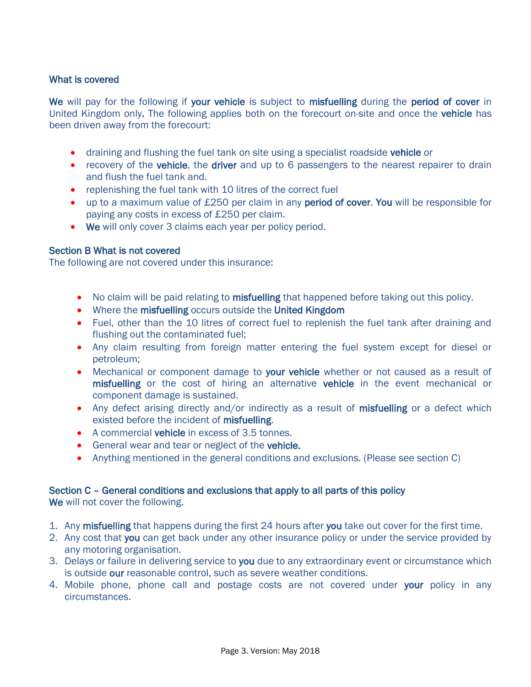## What is covered

We will pay for the following if your vehicle is subject to misfuelling during the period of cover in United Kingdom only. The following applies both on the forecourt on-site and once the vehicle has been driven away from the forecourt:

- **•** draining and flushing the fuel tank on site using a specialist roadside vehicle or
- recovery of the **vehicle**, the **driver** and up to 6 passengers to the nearest repairer to drain and flush the fuel tank and.
- replenishing the fuel tank with 10 litres of the correct fuel
- up to a maximum value of £250 per claim in any period of cover. You will be responsible for paying any costs in excess of £250 per claim.
- We will only cover 3 claims each year per policy period.

## Section B What is not covered

The following are not covered under this insurance:

- No claim will be paid relating to **misfuelling** that happened before taking out this policy.
- Where the misfuelling occurs outside the United Kingdom
- Fuel, other than the 10 litres of correct fuel to replenish the fuel tank after draining and flushing out the contaminated fuel;
- Any claim resulting from foreign matter entering the fuel system except for diesel or petroleum;
- Mechanical or component damage to your vehicle whether or not caused as a result of misfuelling or the cost of hiring an alternative vehicle in the event mechanical or component damage is sustained.
- Any defect arising directly and/or indirectly as a result of misfuelling or a defect which existed before the incident of misfuelling.
- A commercial vehicle in excess of 3.5 tonnes.
- General wear and tear or neglect of the vehicle.
- Anything mentioned in the general conditions and exclusions. (Please see section C)

## Section C – General conditions and exclusions that apply to all parts of this policy

We will not cover the following.

- 1. Any misfuelling that happens during the first 24 hours after you take out cover for the first time.
- 2. Any cost that you can get back under any other insurance policy or under the service provided by any motoring organisation.
- 3. Delays or failure in delivering service to you due to any extraordinary event or circumstance which is outside our reasonable control, such as severe weather conditions.
- 4. Mobile phone, phone call and postage costs are not covered under your policy in any circumstances.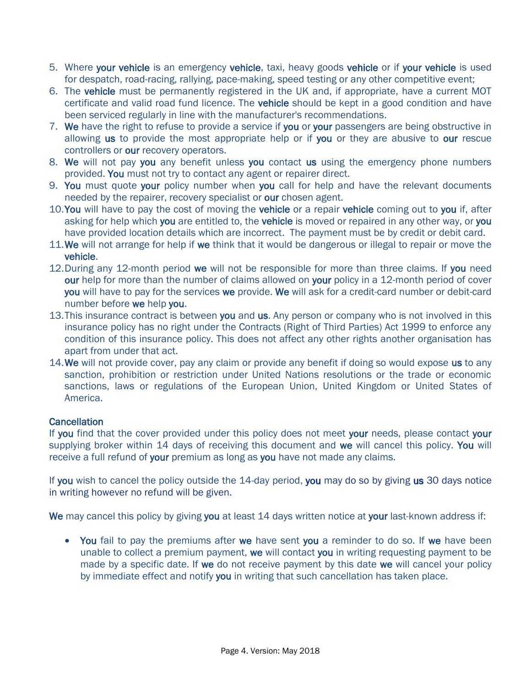- 5. Where your vehicle is an emergency vehicle, taxi, heavy goods vehicle or if your vehicle is used for despatch, road-racing, rallying, pace-making, speed testing or any other competitive event;
- 6. The vehicle must be permanently registered in the UK and, if appropriate, have a current MOT certificate and valid road fund licence. The vehicle should be kept in a good condition and have been serviced regularly in line with the manufacturer's recommendations.
- 7. We have the right to refuse to provide a service if you or your passengers are being obstructive in allowing us to provide the most appropriate help or if you or they are abusive to our rescue controllers or our recovery operators.
- 8. We will not pay you any benefit unless you contact us using the emergency phone numbers provided. You must not try to contact any agent or repairer direct.
- 9. You must quote your policy number when you call for help and have the relevant documents needed by the repairer, recovery specialist or our chosen agent.
- 10. You will have to pay the cost of moving the vehicle or a repair vehicle coming out to you if, after asking for help which you are entitled to, the vehicle is moved or repaired in any other way, or you have provided location details which are incorrect. The payment must be by credit or debit card.
- 11. We will not arrange for help if we think that it would be dangerous or illegal to repair or move the vehicle.
- 12. During any 12-month period we will not be responsible for more than three claims. If you need our help for more than the number of claims allowed on your policy in a 12-month period of cover you will have to pay for the services we provide. We will ask for a credit-card number or debit-card number before we help you.
- 13. This insurance contract is between you and us. Any person or company who is not involved in this insurance policy has no right under the Contracts (Right of Third Parties) Act 1999 to enforce any condition of this insurance policy. This does not affect any other rights another organisation has apart from under that act.
- 14. We will not provide cover, pay any claim or provide any benefit if doing so would expose us to any sanction, prohibition or restriction under United Nations resolutions or the trade or economic sanctions, laws or regulations of the European Union, United Kingdom or United States of America.

# **Cancellation**

If you find that the cover provided under this policy does not meet your needs, please contact your supplying broker within 14 days of receiving this document and we will cancel this policy. You will receive a full refund of your premium as long as you have not made any claims.

If you wish to cancel the policy outside the 14-day period, you may do so by giving us 30 days notice in writing however no refund will be given.

We may cancel this policy by giving you at least 14 days written notice at your last-known address if:

• You fail to pay the premiums after we have sent you a reminder to do so. If we have been unable to collect a premium payment, we will contact you in writing requesting payment to be made by a specific date. If we do not receive payment by this date we will cancel your policy by immediate effect and notify you in writing that such cancellation has taken place.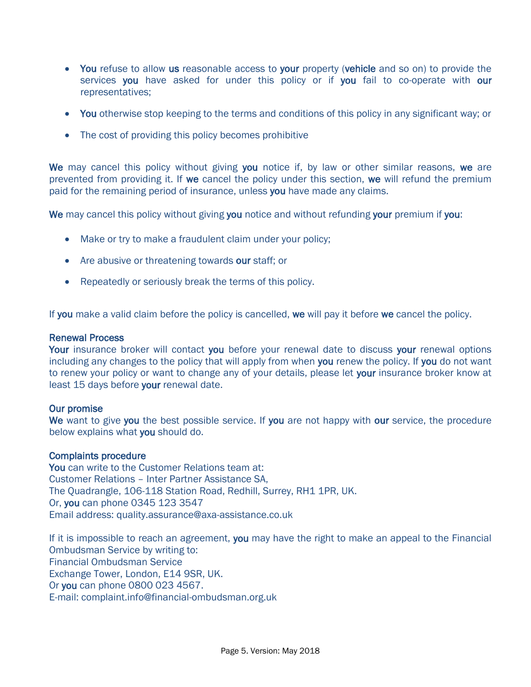- You refuse to allow us reasonable access to your property (vehicle and so on) to provide the services you have asked for under this policy or if you fail to co-operate with our representatives;
- You otherwise stop keeping to the terms and conditions of this policy in any significant way; or
- The cost of providing this policy becomes prohibitive

We may cancel this policy without giving you notice if, by law or other similar reasons, we are prevented from providing it. If we cancel the policy under this section, we will refund the premium paid for the remaining period of insurance, unless you have made any claims.

We may cancel this policy without giving you notice and without refunding your premium if you:

- Make or try to make a fraudulent claim under your policy;
- Are abusive or threatening towards our staff; or
- Repeatedly or seriously break the terms of this policy.

If you make a valid claim before the policy is cancelled, we will pay it before we cancel the policy.

#### Renewal Process

Your insurance broker will contact you before your renewal date to discuss your renewal options including any changes to the policy that will apply from when you renew the policy. If you do not want to renew your policy or want to change any of your details, please let your insurance broker know at least 15 days before your renewal date.

#### Our promise

We want to give you the best possible service. If you are not happy with our service, the procedure below explains what you should do.

#### Complaints procedure

You can write to the Customer Relations team at: Customer Relations – Inter Partner Assistance SA, The Quadrangle, 106-118 Station Road, Redhill, Surrey, RH1 1PR, UK. Or, you can phone 0345 123 3547 Email address: quality.assurance@axa-assistance.co.uk

If it is impossible to reach an agreement, you may have the right to make an appeal to the Financial Ombudsman Service by writing to: Financial Ombudsman Service Exchange Tower, London, E14 9SR, UK. Or you can phone 0800 023 4567. E-mail: complaint.info@financial-ombudsman.org.uk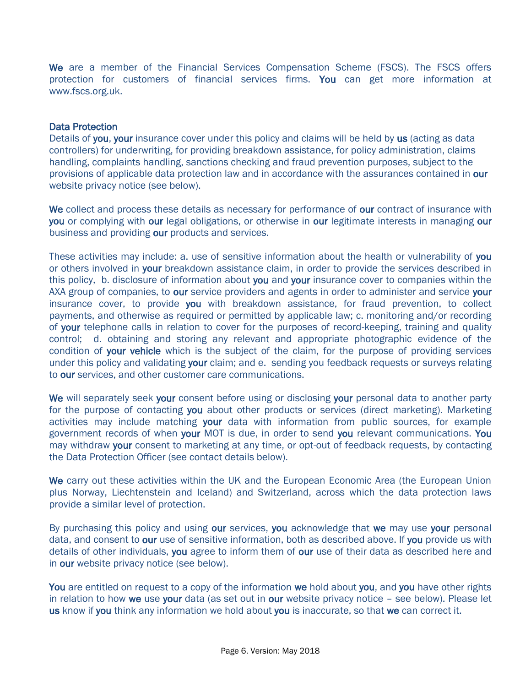We are a member of the Financial Services Compensation Scheme (FSCS). The FSCS offers protection for customers of financial services firms. You can get more information at [www.fscs.org.uk.](http://www.fscs.org.uk/)

#### Data Protection

Details of you, your insurance cover under this policy and claims will be held by us (acting as data controllers) for underwriting, for providing breakdown assistance, for policy administration, claims handling, complaints handling, sanctions checking and fraud prevention purposes, subject to the provisions of applicable data protection law and in accordance with the assurances contained in our website privacy notice (see below).

We collect and process these details as necessary for performance of our contract of insurance with you or complying with our legal obligations, or otherwise in our legitimate interests in managing our business and providing our products and services.

These activities may include: a. use of sensitive information about the health or vulnerability of you or others involved in your breakdown assistance claim, in order to provide the services described in this policy, b. disclosure of information about you and your insurance cover to companies within the AXA group of companies, to our service providers and agents in order to administer and service your insurance cover, to provide you with breakdown assistance, for fraud prevention, to collect payments, and otherwise as required or permitted by applicable law; c. monitoring and/or recording of your telephone calls in relation to cover for the purposes of record-keeping, training and quality control; d. obtaining and storing any relevant and appropriate photographic evidence of the condition of your vehicle which is the subject of the claim, for the purpose of providing services under this policy and validating your claim; and e. sending you feedback requests or surveys relating to our services, and other customer care communications.

We will separately seek your consent before using or disclosing your personal data to another party for the purpose of contacting you about other products or services (direct marketing). Marketing activities may include matching your data with information from public sources, for example government records of when your MOT is due, in order to send you relevant communications. You may withdraw your consent to marketing at any time, or opt-out of feedback requests, by contacting the Data Protection Officer (see contact details below).

We carry out these activities within the UK and the European Economic Area (the European Union plus Norway, Liechtenstein and Iceland) and Switzerland, across which the data protection laws provide a similar level of protection.

By purchasing this policy and using our services, you acknowledge that we may use your personal data, and consent to our use of sensitive information, both as described above. If you provide us with details of other individuals, you agree to inform them of our use of their data as described here and in our website privacy notice (see below).

You are entitled on request to a copy of the information we hold about you, and you have other rights in relation to how we use your data (as set out in our website privacy notice  $-$  see below). Please let us know if you think any information we hold about you is inaccurate, so that we can correct it.